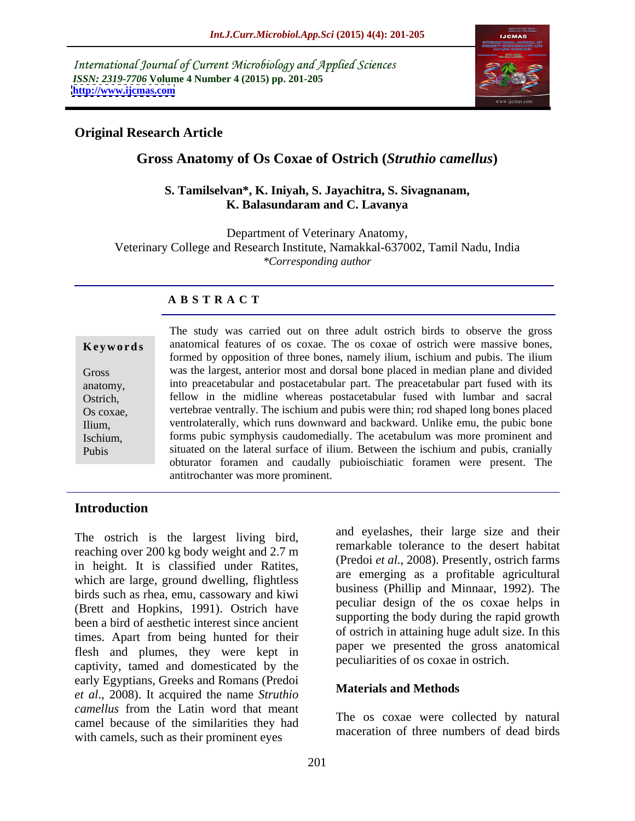International Journal of Current Microbiology and Applied Sciences *ISSN: 2319-7706* **Volume 4 Number 4 (2015) pp. 201-205 <http://www.ijcmas.com>**



## **Original Research Article**

# **Gross Anatomy of Os Coxae of Ostrich (***Struthio camellus***)**

#### **S. Tamilselvan\*, K. Iniyah, S. Jayachitra, S. Sivagnanam, K. Balasundaram and C. Lavanya**

Department of Veterinary Anatomy, Veterinary College and Research Institute, Namakkal-637002, Tamil Nadu, India *\*Corresponding author*

## **A B S T R A C T**

Pubis

The study was carried out on three adult ostrich birds to observe the gross anatomical features of os coxae. The os coxae of ostrich were massive bones, **Ke ywo rds** formed by opposition of three bones, namely ilium, ischium and pubis. The ilium was the largest, anterior most and dorsal bone placed in median plane and divided Gross anatomy, into preacetabular and postacetabular part. The preacetabular part fused with its fellow in the midline whereas postacetabular fused with lumbar and sacral Ostrich, vertebrae ventrally. The ischium and pubis were thin; rod shaped long bones placed Os coxae, ventrolaterally, which runs downward and backward. Unlike emu, the pubic bone Ilium, forms pubic symphysis caudomedially. The acetabulum was more prominent and Ischium, situated on the lateral surface of ilium. Between the ischium and pubis, cranially obturator foramen and caudally pubioischiatic foramen were present. The antitrochanter was more prominent.

## **Introduction**

The ostrich is the largest living bird, reaching over 200 kg body weight and 2.7 m in height. It is classified under Ratites, which are large, ground dwelling, flightless birds such as rhea, emu, cassowary and kiwi (Brett and Hopkins, 1991). Ostrich have been a bird of aesthetic interest since ancient times. Apart from being hunted for their flesh and plumes, they were kept in captivity, tamed and domesticated by the early Egyptians, Greeks and Romans (Predoi *et al*., 2008). It acquired the name *Struthio camellus* from the Latin word that meant camel because of the similarities they had with camels, such as their prominent eyes

and eyelashes, their large size and their remarkable tolerance to the desert habitat (Predoi *et al*., 2008). Presently, ostrich farms are emerging as a profitable agricultural business (Phillip and Minnaar, 1992). The peculiar design of the os coxae helps in supporting the body during the rapid growth of ostrich in attaining huge adult size. In this paper we presented the gross anatomical peculiarities of os coxae in ostrich.

## **Materials and Methods**

The os coxae were collected by natural maceration of three numbers of dead birds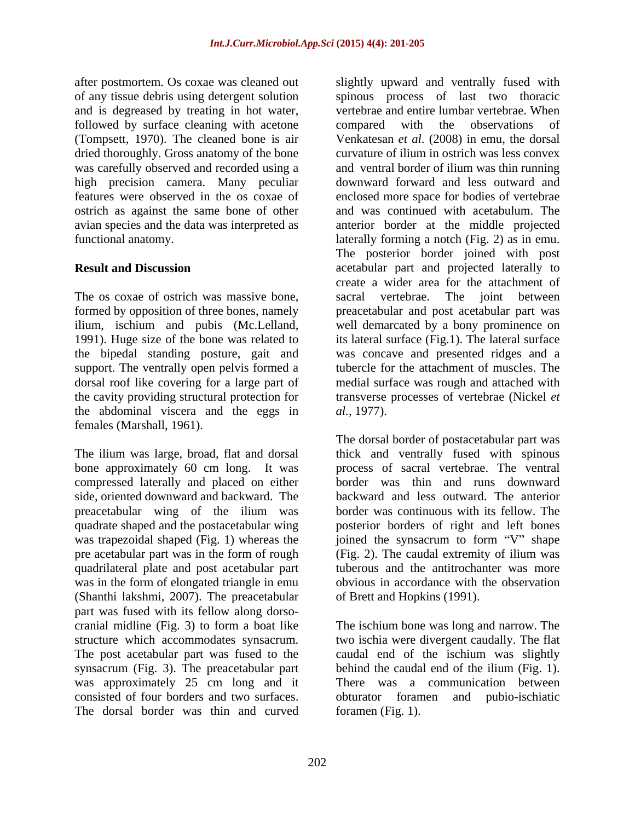after postmortem. Os coxae was cleaned out slightly upward and ventrally fused with and is degreased by treating in hot water, followed by surface cleaning with acetone compared with the observations of (Tompsett, 1970). The cleaned bone is air dried thoroughly. Gross anatomy of the bone was carefully observed and recorded using a high precision camera. Many peculiar avian species and the data was interpreted as

The os coxae of ostrich was massive bone, sacral vertebrae. The joint between support. The ventrally open pelvis formed a the abdominal viscera and the eggs in  $al.$ , 1977). females (Marshall, 1961).

compressed laterally and placed on either side, oriented downward and backward. The quadrate shaped and the postacetabular wing pre acetabular part was in the form of rough (Fig. 2). The caudal extremity of illum was quadrilateral plate and post acetabular part (Shanthi lakshmi, 2007). The preacetabular part was fused with its fellow along dorso synsacrum (Fig. 3). The preacetabular part behind the caudal end of the illum (Fig. 1). was approximately 25 cm long and it There was a communication between The dorsal border was thin and curved

of any tissue debris using detergent solution spinous process of last two thoracic features were observed in the os coxae of enclosed more space for bodies of vertebrae ostrich as against the same bone of other and was continued with acetabulum. The functional anatomy. laterally forming a notch (Fig. 2) as in emu. **Result and Discussion acetabular part and projected laterally to** formed by opposition of three bones, namely preacetabular and post acetabular part was ilium, ischium and pubis (Mc.Lelland, well demarcated by a bony prominence on 1991). Huge size of the bone was related to its lateral surface (Fig.1). The lateral surface the bipedal standing posture, gait and was concave and presented ridges and a dorsal roof like covering for a large part of medial surface was rough and attached with the cavity providing structural protection for transverse processes of vertebrae (Nickel *et*  vertebrae and entire lumbar vertebrae. When compared with the observations of Venkatesan *et al*. (2008) in emu, the dorsal curvature of ilium in ostrich was less convex and ventral border of ilium was thin running downward forward and less outward and anterior border at the middle projected The posterior border joined with post create a wider area for the attachment of sacral vertebrae. The joint between tubercle for the attachment of muscles. The *al.*, 1977).

The ilium was large, broad, flat and dorsal thick and ventrally fused with spinous bone approximately 60 cm long. It was process of sacral vertebrae. The ventral preacetabular wing of the ilium was border was continuous with its fellow. The was trapezoidal shaped (Fig. 1) whereas the joined the synsacrum to form "V" shape was in the form of elongated triangle in emu obvious in accordance with the observation The dorsal border of postacetabular part was border was thin and runs downward backward and less outward. The anterior posterior borders of right and left bones (Fig. 2). The caudal extremity of ilium was tuberous and the antitrochanter was more of Brett and Hopkins (1991).

cranial midline (Fig. 3) to form a boat like The ischium bone was long and narrow. The structure which accommodates synsacrum. two ischia were divergent caudally. The flat The post acetabular part was fused to the caudal end of the ischium was slightly consisted of four borders and two surfaces. obturator foramen and pubio-ischiatic behind the caudal end of the ilium (Fig. 1).<br>There was a communication between foramen (Fig. 1).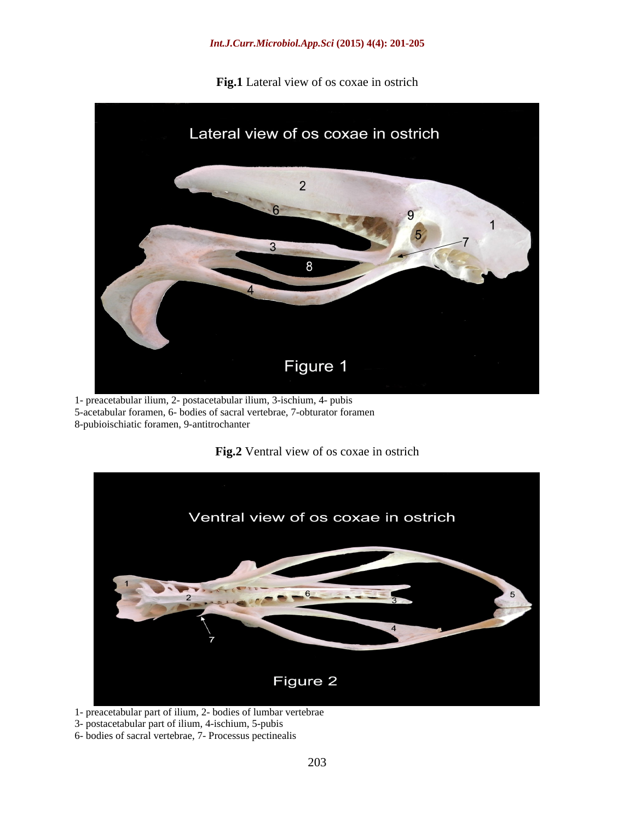**Fig.1** Lateral view of os coxae in ostrich



1- preacetabular ilium, 2- postacetabular ilium, 3-ischium, 4- pubis 5-acetabular foramen, 6- bodies of sacral vertebrae, 7-obturator foramen 8-pubioischiatic foramen, 9-antitrochanter





1- preacetabular part of ilium, 2- bodies of lumbar vertebrae

3- postacetabular part of ilium, 4-ischium, 5-pubis

6- bodies of sacral vertebrae, 7- Processus pectinealis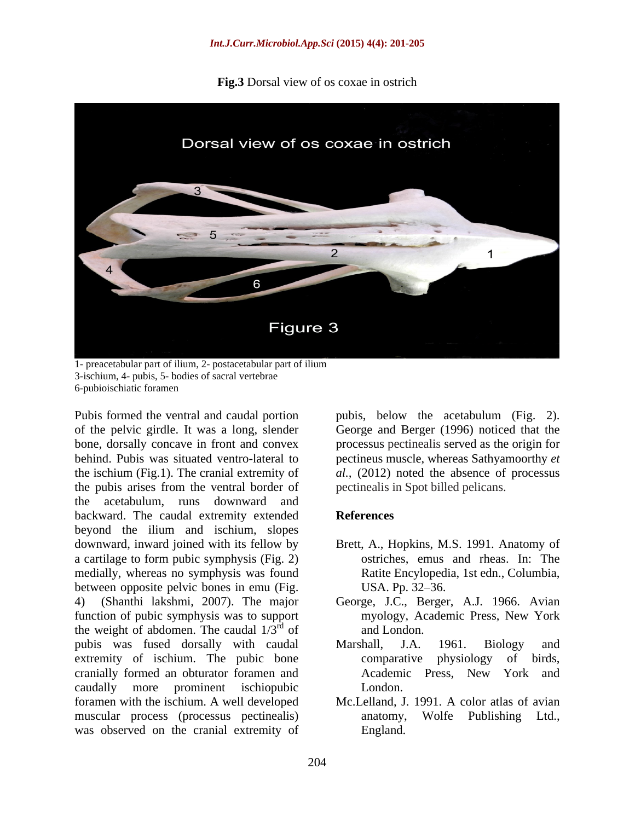**Fig.3** Dorsal view of os coxae in ostrich



1- preacetabular part of ilium, 2- postacetabular part of ilium 3-ischium, 4- pubis, 5- bodies of sacral vertebrae 6-pubioischiatic foramen

Pubis formed the ventral and caudal portion pubis, below the acetabulum (Fig. 2). of the pelvic girdle. It was a long, slender George and Berger (1996) noticed that the bone, dorsally concave in front and convex processus pectinealis served as the origin for behind. Pubis was situated ventro-lateral to pectineus muscle, whereas Sathyamoorthy *et*  the ischium (Fig.1). The cranial extremity of *al.,* (2012) noted the absence of processus the pubis arises from the ventral border of the acetabulum, runs downward and backward. The caudal extremity extended **References** beyond the ilium and ischium, slopes downward, inward joined with its fellow by Brett, A., Hopkins, M.S. 1991. Anatomy of a cartilage to form pubic symphysis (Fig. 2) medially, whereas no symphysis was found between opposite pelvic bones in emu (Fig. 4) (Shanthi lakshmi, 2007). The major George, J.C., Berger, A.J. 1966. Avian function of pubic symphysis was to support the weight of abdomen. The caudal  $1/3^{rd}$  of and London. pubis was fused dorsally with caudal Marshall, J.A. 1961. Biology and extremity of ischium. The pubic bone comparative physiology of birds, cranially formed an obturator foramen and caudally more prominent ischiopubic foramen with the ischium. A well developed Mc.Lelland, J. 1991. A color atlas of avian muscular process (processus pectinealis) anatomy, Wolfe Publishing Ltd., was observed on the cranial extremity of

pectinealis in Spot billed pelicans.

## **References**

- ostriches, emus and rheas. In: The Ratite Encylopedia, 1st edn., Columbia, USA. Pp. 32–36.
- $\frac{rd}{r^d}$  of and London of and London. myology, Academic Press, New York and London.
	- Marshall, J.A. 1961. Biology and comparative physiology of birds, Academic Press, New York and London.
	- anatomy, Wolfe Publishing Ltd., England.